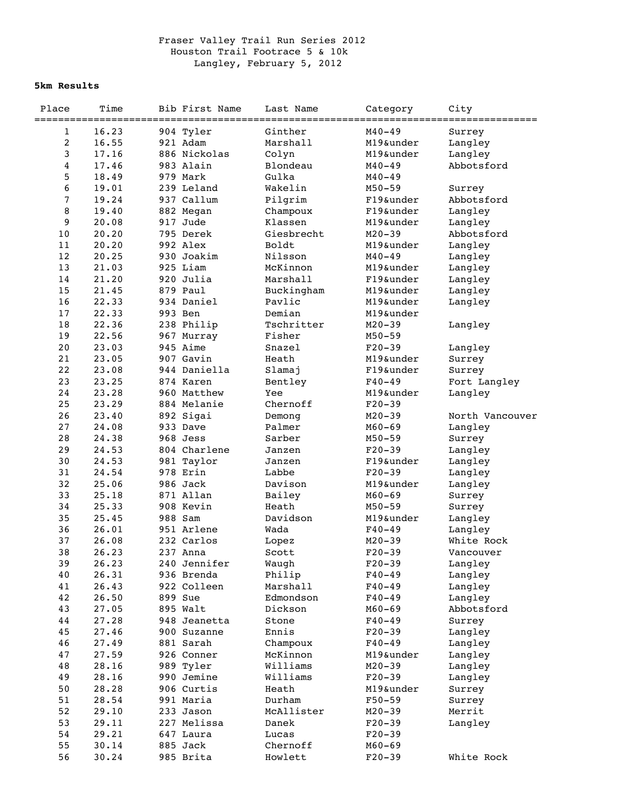## Fraser Valley Trail Run Series 2012 Houston Trail Footrace 5 & 10k Langley, February 5, 2012

## **5km Results**

| Place            | Time  | Bib First Name           | Last Name  | Category   | City            |
|------------------|-------|--------------------------|------------|------------|-----------------|
| ============     |       |                          |            |            | =============   |
| 1                | 16.23 | 904 Tyler                | Ginther    | $M40 - 49$ | Surrey          |
| $\boldsymbol{2}$ | 16.55 | 921 Adam<br>886 Nickolas | Marshall   | M19&under  | Langley         |
| 3                | 17.16 |                          | Colyn      | M19&under  | Langley         |
| 4                | 17.46 | 983 Alain                | Blondeau   | $M40 - 49$ | Abbotsford      |
| 5                | 18.49 | 979 Mark                 | Gulka      | $M40 - 49$ |                 |
| 6                | 19.01 | 239 Leland               | Wakelin    | $M50 - 59$ | Surrey          |
| $\sqrt{ }$       | 19.24 | 937 Callum               | Pilgrim    | F19&under  | Abbotsford      |
| 8                | 19.40 | 882 Megan                | Champoux   | F19&under  | Langley         |
| 9                | 20.08 | 917 Jude                 | Klassen    | M19&under  | Langley         |
| $10$             | 20.20 | 795 Derek                | Giesbrecht | $M20 - 39$ | Abbotsford      |
| 11               | 20.20 | 992 Alex                 | Boldt      | M19&under  | Langley         |
| 12               | 20.25 | 930 Joakim               | Nilsson    | $M40 - 49$ | Langley         |
| 13               | 21.03 | 925 Liam                 | McKinnon   | M19&under  | Langley         |
| 14               | 21.20 | 920 Julia                | Marshall   | F19&under  | Langley         |
| 15               | 21.45 | 879 Paul                 | Buckingham | M19&under  | Langley         |
| 16               | 22.33 | 934 Daniel               | Pavlic     | M19&under  | Langley         |
| $17$             | 22.33 | 993 Ben                  | Demian     | M19&under  |                 |
| 18               | 22.36 | 238 Philip               | Tschritter | $M20 - 39$ | Langley         |
| 19               | 22.56 | 967 Murray               | Fisher     | $M50 - 59$ |                 |
| 20               | 23.03 | 945 Aime                 | Snazel     | $F20-39$   | Langley         |
| 21               | 23.05 | 907 Gavin                | Heath      | M19&under  | Surrey          |
| 22               | 23.08 | 944 Daniella             | Slamaj     | F19&under  | Surrey          |
| 23               | 23.25 | 874 Karen                | Bentley    | $F40 - 49$ | Fort Langley    |
| 24               | 23.28 | 960 Matthew              | Yee        | M19&under  | Langley         |
| 25               | 23.29 | 884 Melanie              | Chernoff   | $F20-39$   |                 |
| 26               | 23.40 | 892 Sigai                | Demong     | $M20 - 39$ | North Vancouver |
| 27               | 24.08 | 933 Dave                 | Palmer     | $M60 - 69$ | Langley         |
| 28               | 24.38 | 968 Jess                 | Sarber     | $M50 - 59$ | Surrey          |
| 29               | 24.53 | 804 Charlene             | Janzen     | $F20-39$   | Langley         |
| 30               | 24.53 | 981 Taylor               | Janzen     | F19&under  | Langley         |
| 31               | 24.54 | 978 Erin                 | Labbe      | $F20-39$   | Langley         |
| 32               | 25.06 | 986 Jack                 | Davison    | M19&under  | Langley         |
| 33               | 25.18 | 871 Allan                | Bailey     | $M60 - 69$ | Surrey          |
| 34               | 25.33 | 908 Kevin                | Heath      | $M50 - 59$ | Surrey          |
| 35               | 25.45 | 988 Sam                  | Davidson   | M19&under  | Langley         |
| 36               | 26.01 | 951 Arlene               | Wada       | $F40 - 49$ | Langley         |
| 37               | 26.08 | 232 Carlos               | Lopez      | $M20 - 39$ | White Rock      |
| 38               | 26.23 | 237 Anna                 | Scott      | $F20-39$   | Vancouver       |
| 39               | 26.23 | 240 Jennifer             | Waugh      | $F20-39$   | Langley         |
| 40               | 26.31 | 936 Brenda               | Philip     | $F40 - 49$ | Langley         |
| 41               | 26.43 | 922 Colleen              | Marshall   | $F40 - 49$ | Langley         |
| 42               | 26.50 | 899 Sue                  | Edmondson  | $F40 - 49$ | Langley         |
| 43               | 27.05 | 895 Walt                 | Dickson    | $M60 - 69$ | Abbotsford      |
| $4\,4$           | 27.28 | 948 Jeanetta             | Stone      | $F40 - 49$ | Surrey          |
| 45               | 27.46 | 900 Suzanne              | Ennis      | $F20-39$   | Langley         |
| 46               | 27.49 | 881 Sarah                | Champoux   | $F40 - 49$ | Langley         |
| 47               | 27.59 | 926 Conner               | McKinnon   | M19&under  | Langley         |
| 48               | 28.16 | 989 Tyler                | Williams   | $M20 - 39$ | Langley         |
| 49               | 28.16 | 990 Jemine               | Williams   | $F20-39$   | Langley         |
| 50               | 28.28 | 906 Curtis               | Heath      | M19&under  | Surrey          |
| 51               | 28.54 | 991 Maria                | Durham     | $F50 - 59$ | Surrey          |
| 52               | 29.10 | 233 Jason                | McAllister | $M20 - 39$ | Merrit          |
| 53               | 29.11 | 227 Melissa              | Danek      | $F20-39$   | Langley         |
| 54               | 29.21 | 647 Laura                | Lucas      | $F20-39$   |                 |
| 55               | 30.14 | 885 Jack                 | Chernoff   | $M60 - 69$ |                 |
| 56               | 30.24 | 985 Brita                | Howlett    | $F20-39$   | White Rock      |
|                  |       |                          |            |            |                 |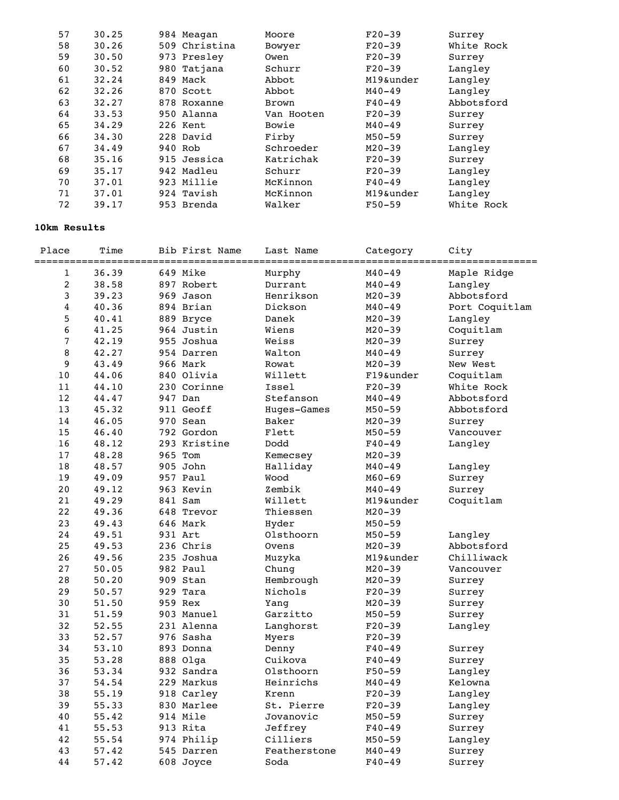| 57 | 30.25 |         | 984 Meagan    | Moore        | $F20-39$   | Surrey     |
|----|-------|---------|---------------|--------------|------------|------------|
| 58 | 30.26 |         | 509 Christina | Bowyer       | $F20-39$   | White Rock |
| 59 | 30.50 |         | 973 Presley   | Owen         | $F20-39$   | Surrey     |
| 60 | 30.52 |         | 980 Tatjana   | Schurr       | $F20-39$   | Langley    |
| 61 | 32.24 |         | 849 Mack      | Abbot        | M19&under  | Langley    |
| 62 | 32.26 |         | 870 Scott     | Abbot        | $M40 - 49$ | Langley    |
| 63 | 32.27 |         | 878 Roxanne   | <b>Brown</b> | $F40-49$   | Abbotsford |
| 64 | 33.53 |         | 950 Alanna    | Van Hooten   | $F20-39$   | Surrey     |
| 65 | 34.29 |         | 226 Kent      | Bowie        | $M40 - 49$ | Surrey     |
| 66 | 34.30 |         | 228 David     | Firby        | $M50 - 59$ | Surrey     |
| 67 | 34.49 | 940 Rob |               | Schroeder    | $M20 - 39$ | Langley    |
| 68 | 35.16 |         | 915 Jessica   | Katrichak    | $F20-39$   | Surrey     |
| 69 | 35.17 |         | 942 Madleu    | Schurr       | $F20-39$   | Langley    |
| 70 | 37.01 |         | 923 Millie    | McKinnon     | $F40 - 49$ | Langley    |
| 71 | 37.01 |         | 924 Tavish    | McKinnon     | M19&under  | Langley    |
| 72 | 39.17 |         | 953 Brenda    | Walker       | $F50 - 59$ | White Rock |
|    |       |         |               |              |            |            |

## **10km Results**

| Place          | Time  |         | Bib First Name | Last Name    | Category   | City<br>:============ |
|----------------|-------|---------|----------------|--------------|------------|-----------------------|
| $\mathbf{1}$   | 36.39 |         | 649 Mike       | Murphy       | $M40 - 49$ | Maple Ridge           |
| 2              | 38.58 |         | 897 Robert     | Durrant      | $M40 - 49$ | Langley               |
| $\mathbf{3}$   | 39.23 |         | 969 Jason      | Henrikson    | $M20 - 39$ | Abbotsford            |
| 4              | 40.36 |         | 894 Brian      | Dickson      | $M40 - 49$ | Port Coquitlam        |
| 5              | 40.41 |         | 889 Bryce      | Danek        | $M20 - 39$ | Langley               |
| 6              | 41.25 |         | 964 Justin     | Wiens        | $M20 - 39$ | Coquitlam             |
| $\overline{7}$ | 42.19 |         | 955 Joshua     | Weiss        | $M20 - 39$ | Surrey                |
| 8              | 42.27 |         | 954 Darren     | Walton       | $M40 - 49$ | Surrey                |
| 9              | 43.49 |         | 966 Mark       | Rowat        | $M20 - 39$ | New West              |
| 10             | 44.06 |         | 840 Olivia     | Willett      | F19&under  | Coquitlam             |
| 11             | 44.10 |         | 230 Corinne    | Issel        | $F20-39$   | White Rock            |
| 12             | 44.47 | 947 Dan |                | Stefanson    | $M40 - 49$ | Abbotsford            |
| 13             | 45.32 |         | 911 Geoff      | Huges-Games  | $M50 - 59$ | Abbotsford            |
| 14             | 46.05 |         | 970 Sean       | Baker        | $M20 - 39$ | Surrey                |
| 15             | 46.40 |         | 792 Gordon     | Flett        | $M50 - 59$ | Vancouver             |
| 16             | 48.12 |         | 293 Kristine   | Dodd         | $F40 - 49$ | Langley               |
| 17             | 48.28 | 965 Tom |                | Kemecsey     | $M20 - 39$ |                       |
| 18             | 48.57 |         | 905 John       | Halliday     | $M40 - 49$ | Langley               |
| 19             | 49.09 |         | 957 Paul       | Wood         | $M60 - 69$ | Surrey                |
| 20             | 49.12 |         | 963 Kevin      | Zembik       | $M40 - 49$ | Surrey                |
| 21             | 49.29 | 841 Sam |                | Willett      | M19&under  | Coquitlam             |
| 22             | 49.36 |         | 648 Trevor     | Thiessen     | $M20 - 39$ |                       |
| 23             | 49.43 |         | 646 Mark       | Hyder        | $M50 - 59$ |                       |
| 24             | 49.51 | 931 Art |                | Olsthoorn    | $M50 - 59$ | Langley               |
| 25             | 49.53 |         | 236 Chris      | Ovens        | $M20 - 39$ | Abbotsford            |
| 26             | 49.56 |         | 235 Joshua     | Muzyka       | M19&under  | Chilliwack            |
| 27             | 50.05 |         | 982 Paul       | Chung        | $M20 - 39$ | Vancouver             |
| 28             | 50.20 |         | 909 Stan       | Hembrough    | $M20 - 39$ | Surrey                |
| 29             | 50.57 |         | 929 Tara       | Nichols      | $F20-39$   | Surrey                |
| 30             | 51.50 | 959 Rex |                | Yang         | $M20 - 39$ | Surrey                |
| 31             | 51.59 |         | 903 Manuel     | Garzitto     | $M50 - 59$ | Surrey                |
| 32             | 52.55 |         | 231 Alenna     | Langhorst    | $F20-39$   | Langley               |
| 33             | 52.57 |         | 976 Sasha      | Myers        | $F20-39$   |                       |
| 34             | 53.10 |         | 893 Donna      | Denny        | $F40 - 49$ | Surrey                |
| 35             | 53.28 |         | 888 Olga       | Cuikova      | $F40 - 49$ | Surrey                |
| 36             | 53.34 |         | 932 Sandra     | Olsthoorn    | $F50 - 59$ | Langley               |
| 37             | 54.54 |         | 229 Markus     | Heinrichs    | $M40 - 49$ | Kelowna               |
| 38             | 55.19 |         | 918 Carley     | Krenn        | $F20-39$   | Langley               |
| 39             | 55.33 |         | 830 Marlee     | St. Pierre   | $F20-39$   | Langley               |
| 40             | 55.42 |         | 914 Mile       | Jovanovic    | $M50 - 59$ | Surrey                |
| 41             | 55.53 |         | 913 Rita       | Jeffrey      | $F40 - 49$ | Surrey                |
| 42             | 55.54 |         | 974 Philip     | Cilliers     | $M50 - 59$ | Langley               |
| 43             | 57.42 |         | 545 Darren     | Featherstone | $M40 - 49$ | Surrey                |
| 44             | 57.42 |         | 608 Joyce      | Soda         | $F40 - 49$ | Surrey                |